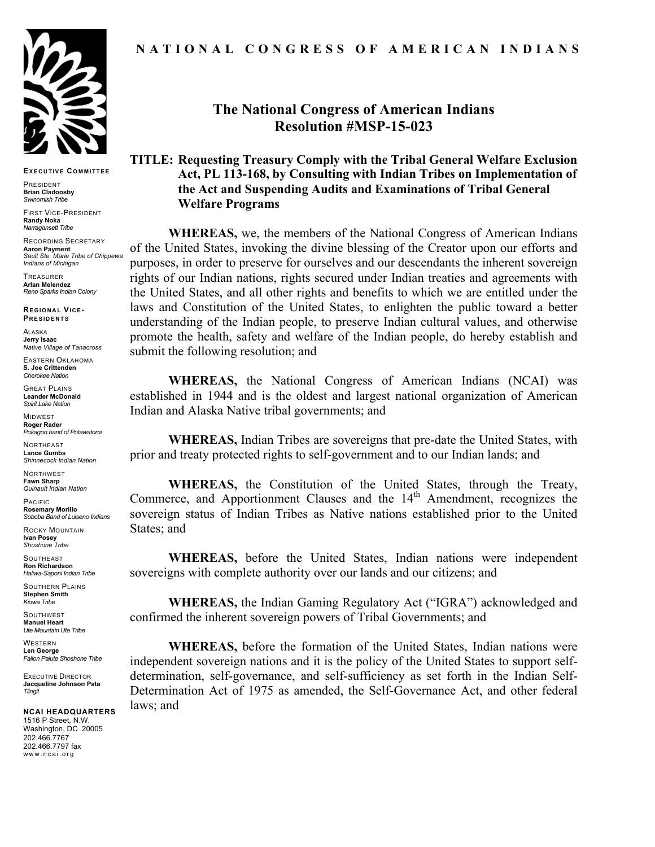

**EXECUTIVE COMMITTEE**

PRESIDENT **Brian Cladoosby** *Swinomish Tribe*

FIRST VICE-PRESIDENT **Randy Noka** *Narragansett Tribe*

RECORDING SECRETARY **Aaron Payment** *Sault Ste. Marie Tribe of Chippewa Indians of Michigan*

TREASURER **Arlan Melendez** *Reno Sparks Indian Colony*

**REGIONAL VICE-PRESIDENTS**

ALASKA **Jerry Isaac** *Native Village of Tanacross*

EASTERN OKLAHOMA **S. Joe Crittenden** *Cherokee Nation*

GREAT PLAINS **Leander McDonald** *Spirit Lake Nation*

MIDWEST **Roger Rader** *Pokagon band of Potawatomi* 

**NORTHEAST Lance Gumbs** *Shinnecock Indian Nation*

NORTHWEST **Fawn Sharp** *Quinault Indian Nation*

PACIFIC **Rosemary Morillo** *Soboba Band of Luiseno Indians*

ROCKY MOUNTAIN **Ivan Posey** *Shoshone Tribe*

**SOUTHEAST Ron Richardson** *Haliwa-Saponi Indian Tribe*

SOUTHERN PLAINS **Stephen Smith** *Kiowa Tribe*

**SOUTHWEST Manuel Heart** *Ute Mountain Ute Tribe*

WESTERN **Len George** *Fallon Paiute Shoshone Tribe*

EXECUTIVE DIRECTOR **Jacqueline Johnson Pata** *Tlingit*

**NCAI HEADQUARTERS** 1516 P Street, N.W. Washington, DC 20005 202.466.7767 202.466.7797 fax www.ncai.org

## **NATIONAL CONGRESS OF AMERICAN INDIANS**

## **The National Congress of American Indians Resolution #MSP-15-023**

## **TITLE: Requesting Treasury Comply with the Tribal General Welfare Exclusion Act, PL 113-168, by Consulting with Indian Tribes on Implementation of the Act and Suspending Audits and Examinations of Tribal General Welfare Programs**

**WHEREAS,** we, the members of the National Congress of American Indians of the United States, invoking the divine blessing of the Creator upon our efforts and purposes, in order to preserve for ourselves and our descendants the inherent sovereign rights of our Indian nations, rights secured under Indian treaties and agreements with the United States, and all other rights and benefits to which we are entitled under the laws and Constitution of the United States, to enlighten the public toward a better understanding of the Indian people, to preserve Indian cultural values, and otherwise promote the health, safety and welfare of the Indian people, do hereby establish and submit the following resolution; and

**WHEREAS,** the National Congress of American Indians (NCAI) was established in 1944 and is the oldest and largest national organization of American Indian and Alaska Native tribal governments; and

**WHEREAS,** Indian Tribes are sovereigns that pre-date the United States, with prior and treaty protected rights to self-government and to our Indian lands; and

**WHEREAS,** the Constitution of the United States, through the Treaty, Commerce, and Apportionment Clauses and the 14<sup>th</sup> Amendment, recognizes the sovereign status of Indian Tribes as Native nations established prior to the United States; and

**WHEREAS,** before the United States, Indian nations were independent sovereigns with complete authority over our lands and our citizens; and

**WHEREAS,** the Indian Gaming Regulatory Act ("IGRA") acknowledged and confirmed the inherent sovereign powers of Tribal Governments; and

**WHEREAS,** before the formation of the United States, Indian nations were independent sovereign nations and it is the policy of the United States to support selfdetermination, self-governance, and self-sufficiency as set forth in the Indian Self-Determination Act of 1975 as amended, the Self-Governance Act, and other federal laws; and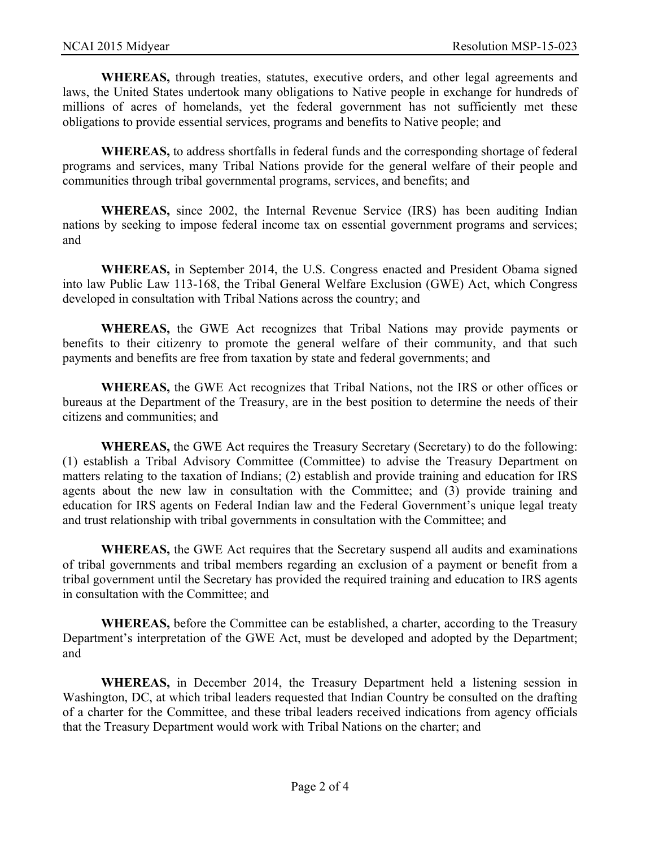**WHEREAS,** through treaties, statutes, executive orders, and other legal agreements and laws, the United States undertook many obligations to Native people in exchange for hundreds of millions of acres of homelands, yet the federal government has not sufficiently met these obligations to provide essential services, programs and benefits to Native people; and

**WHEREAS,** to address shortfalls in federal funds and the corresponding shortage of federal programs and services, many Tribal Nations provide for the general welfare of their people and communities through tribal governmental programs, services, and benefits; and

**WHEREAS,** since 2002, the Internal Revenue Service (IRS) has been auditing Indian nations by seeking to impose federal income tax on essential government programs and services; and

**WHEREAS,** in September 2014, the U.S. Congress enacted and President Obama signed into law Public Law 113-168, the Tribal General Welfare Exclusion (GWE) Act, which Congress developed in consultation with Tribal Nations across the country; and

**WHEREAS,** the GWE Act recognizes that Tribal Nations may provide payments or benefits to their citizenry to promote the general welfare of their community, and that such payments and benefits are free from taxation by state and federal governments; and

**WHEREAS,** the GWE Act recognizes that Tribal Nations, not the IRS or other offices or bureaus at the Department of the Treasury, are in the best position to determine the needs of their citizens and communities; and

**WHEREAS,** the GWE Act requires the Treasury Secretary (Secretary) to do the following: (1) establish a Tribal Advisory Committee (Committee) to advise the Treasury Department on matters relating to the taxation of Indians; (2) establish and provide training and education for IRS agents about the new law in consultation with the Committee; and (3) provide training and education for IRS agents on Federal Indian law and the Federal Government's unique legal treaty and trust relationship with tribal governments in consultation with the Committee; and

**WHEREAS,** the GWE Act requires that the Secretary suspend all audits and examinations of tribal governments and tribal members regarding an exclusion of a payment or benefit from a tribal government until the Secretary has provided the required training and education to IRS agents in consultation with the Committee; and

**WHEREAS,** before the Committee can be established, a charter, according to the Treasury Department's interpretation of the GWE Act, must be developed and adopted by the Department; and

**WHEREAS,** in December 2014, the Treasury Department held a listening session in Washington, DC, at which tribal leaders requested that Indian Country be consulted on the drafting of a charter for the Committee, and these tribal leaders received indications from agency officials that the Treasury Department would work with Tribal Nations on the charter; and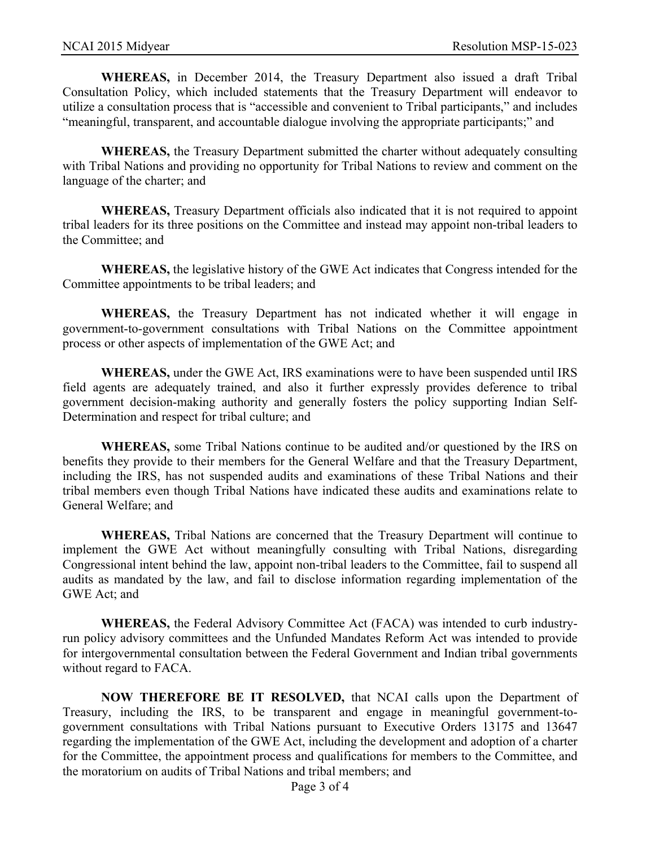**WHEREAS,** in December 2014, the Treasury Department also issued a draft Tribal Consultation Policy, which included statements that the Treasury Department will endeavor to utilize a consultation process that is "accessible and convenient to Tribal participants," and includes "meaningful, transparent, and accountable dialogue involving the appropriate participants;" and

**WHEREAS,** the Treasury Department submitted the charter without adequately consulting with Tribal Nations and providing no opportunity for Tribal Nations to review and comment on the language of the charter; and

**WHEREAS,** Treasury Department officials also indicated that it is not required to appoint tribal leaders for its three positions on the Committee and instead may appoint non-tribal leaders to the Committee; and

**WHEREAS,** the legislative history of the GWE Act indicates that Congress intended for the Committee appointments to be tribal leaders; and

**WHEREAS,** the Treasury Department has not indicated whether it will engage in government-to-government consultations with Tribal Nations on the Committee appointment process or other aspects of implementation of the GWE Act; and

**WHEREAS,** under the GWE Act, IRS examinations were to have been suspended until IRS field agents are adequately trained, and also it further expressly provides deference to tribal government decision-making authority and generally fosters the policy supporting Indian Self-Determination and respect for tribal culture; and

**WHEREAS,** some Tribal Nations continue to be audited and/or questioned by the IRS on benefits they provide to their members for the General Welfare and that the Treasury Department, including the IRS, has not suspended audits and examinations of these Tribal Nations and their tribal members even though Tribal Nations have indicated these audits and examinations relate to General Welfare; and

**WHEREAS,** Tribal Nations are concerned that the Treasury Department will continue to implement the GWE Act without meaningfully consulting with Tribal Nations, disregarding Congressional intent behind the law, appoint non-tribal leaders to the Committee, fail to suspend all audits as mandated by the law, and fail to disclose information regarding implementation of the GWE Act; and

**WHEREAS,** the Federal Advisory Committee Act (FACA) was intended to curb industryrun policy advisory committees and the Unfunded Mandates Reform Act was intended to provide for intergovernmental consultation between the Federal Government and Indian tribal governments without regard to FACA.

**NOW THEREFORE BE IT RESOLVED,** that NCAI calls upon the Department of Treasury, including the IRS, to be transparent and engage in meaningful government-togovernment consultations with Tribal Nations pursuant to Executive Orders 13175 and 13647 regarding the implementation of the GWE Act, including the development and adoption of a charter for the Committee, the appointment process and qualifications for members to the Committee, and the moratorium on audits of Tribal Nations and tribal members; and